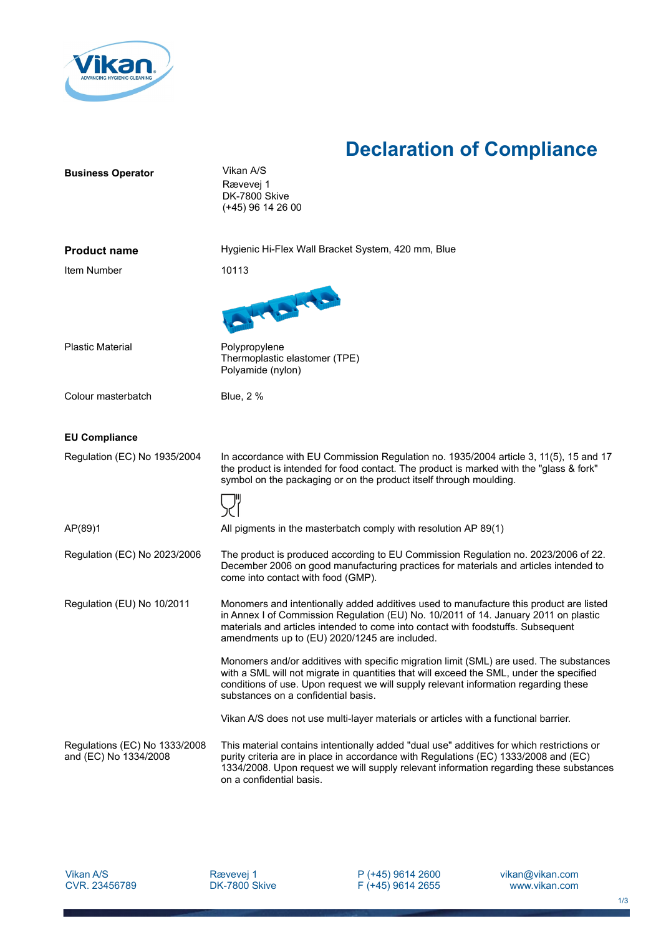

## **Declaration of Compliance**

| <b>Business Operator</b>                               | Vikan A/S<br>Rævevej 1<br>DK-7800 Skive<br>$(+45)$ 96 14 26 00                                                                                                                                                                                                                                                     |
|--------------------------------------------------------|--------------------------------------------------------------------------------------------------------------------------------------------------------------------------------------------------------------------------------------------------------------------------------------------------------------------|
| <b>Product name</b>                                    | Hygienic Hi-Flex Wall Bracket System, 420 mm, Blue                                                                                                                                                                                                                                                                 |
| Item Number                                            | 10113                                                                                                                                                                                                                                                                                                              |
|                                                        | La La La La La                                                                                                                                                                                                                                                                                                     |
| <b>Plastic Material</b>                                | Polypropylene<br>Thermoplastic elastomer (TPE)<br>Polyamide (nylon)                                                                                                                                                                                                                                                |
| Colour masterbatch                                     | <b>Blue, 2 %</b>                                                                                                                                                                                                                                                                                                   |
| <b>EU Compliance</b>                                   |                                                                                                                                                                                                                                                                                                                    |
| Regulation (EC) No 1935/2004                           | In accordance with EU Commission Regulation no. 1935/2004 article 3, 11(5), 15 and 17<br>the product is intended for food contact. The product is marked with the "glass & fork"<br>symbol on the packaging or on the product itself through moulding.                                                             |
| AP(89)1                                                | All pigments in the masterbatch comply with resolution AP 89(1)                                                                                                                                                                                                                                                    |
| Regulation (EC) No 2023/2006                           | The product is produced according to EU Commission Regulation no. 2023/2006 of 22.<br>December 2006 on good manufacturing practices for materials and articles intended to<br>come into contact with food (GMP).                                                                                                   |
| Regulation (EU) No 10/2011                             | Monomers and intentionally added additives used to manufacture this product are listed<br>in Annex I of Commission Regulation (EU) No. 10/2011 of 14. January 2011 on plastic<br>materials and articles intended to come into contact with foodstuffs. Subsequent<br>amendments up to (EU) 2020/1245 are included. |
|                                                        | Monomers and/or additives with specific migration limit (SML) are used. The substances<br>with a SML will not migrate in quantities that will exceed the SML, under the specified<br>conditions of use. Upon request we will supply relevant information regarding these<br>substances on a confidential basis.    |
|                                                        | Vikan A/S does not use multi-layer materials or articles with a functional barrier.                                                                                                                                                                                                                                |
| Regulations (EC) No 1333/2008<br>and (EC) No 1334/2008 | This material contains intentionally added "dual use" additives for which restrictions or<br>purity criteria are in place in accordance with Regulations (EC) 1333/2008 and (EC)<br>1334/2008. Upon request we will supply relevant information regarding these substances<br>on a confidential basis.             |

P (+45) 9614 2600 F (+45) 9614 2655 vikan@vikan.com www.vikan.com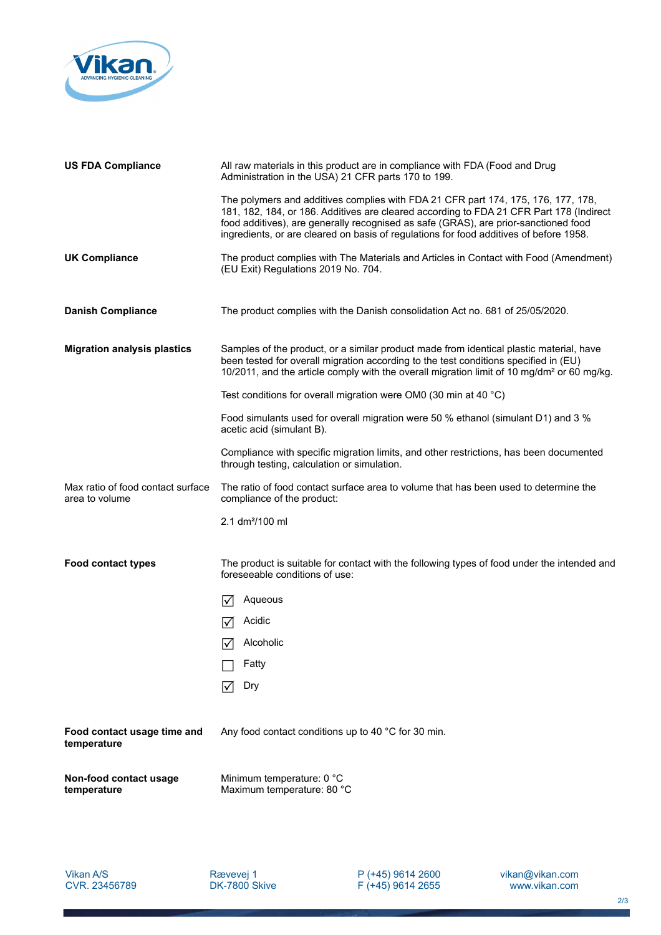

| <b>US FDA Compliance</b>                            | All raw materials in this product are in compliance with FDA (Food and Drug<br>Administration in the USA) 21 CFR parts 170 to 199.                                                                                                                                                                                                                            |
|-----------------------------------------------------|---------------------------------------------------------------------------------------------------------------------------------------------------------------------------------------------------------------------------------------------------------------------------------------------------------------------------------------------------------------|
|                                                     | The polymers and additives complies with FDA 21 CFR part 174, 175, 176, 177, 178,<br>181, 182, 184, or 186. Additives are cleared according to FDA 21 CFR Part 178 (Indirect<br>food additives), are generally recognised as safe (GRAS), are prior-sanctioned food<br>ingredients, or are cleared on basis of regulations for food additives of before 1958. |
| <b>UK Compliance</b>                                | The product complies with The Materials and Articles in Contact with Food (Amendment)<br>(EU Exit) Regulations 2019 No. 704.                                                                                                                                                                                                                                  |
| <b>Danish Compliance</b>                            | The product complies with the Danish consolidation Act no. 681 of 25/05/2020.                                                                                                                                                                                                                                                                                 |
| <b>Migration analysis plastics</b>                  | Samples of the product, or a similar product made from identical plastic material, have<br>been tested for overall migration according to the test conditions specified in (EU)<br>10/2011, and the article comply with the overall migration limit of 10 mg/dm <sup>2</sup> or 60 mg/kg.                                                                     |
|                                                     | Test conditions for overall migration were OM0 (30 min at 40 °C)                                                                                                                                                                                                                                                                                              |
|                                                     | Food simulants used for overall migration were 50 % ethanol (simulant D1) and 3 %<br>acetic acid (simulant B).                                                                                                                                                                                                                                                |
|                                                     | Compliance with specific migration limits, and other restrictions, has been documented<br>through testing, calculation or simulation.                                                                                                                                                                                                                         |
| Max ratio of food contact surface<br>area to volume | The ratio of food contact surface area to volume that has been used to determine the<br>compliance of the product:                                                                                                                                                                                                                                            |
|                                                     | 2.1 $dm^2/100$ ml                                                                                                                                                                                                                                                                                                                                             |
| <b>Food contact types</b>                           | The product is suitable for contact with the following types of food under the intended and<br>foreseeable conditions of use:                                                                                                                                                                                                                                 |
|                                                     | Aqueous<br>l٧                                                                                                                                                                                                                                                                                                                                                 |
|                                                     | Acidic                                                                                                                                                                                                                                                                                                                                                        |
|                                                     | Alcoholic<br>$\blacktriangledown$                                                                                                                                                                                                                                                                                                                             |
|                                                     | Fatty                                                                                                                                                                                                                                                                                                                                                         |
|                                                     | Dry                                                                                                                                                                                                                                                                                                                                                           |
| Food contact usage time and<br>temperature          | Any food contact conditions up to 40 °C for 30 min.                                                                                                                                                                                                                                                                                                           |
| Non-food contact usage<br>temperature               | Minimum temperature: 0 °C<br>Maximum temperature: 80 °C                                                                                                                                                                                                                                                                                                       |
|                                                     |                                                                                                                                                                                                                                                                                                                                                               |

P (+45) 9614 2600 F (+45) 9614 2655 vikan@vikan.com www.vikan.com